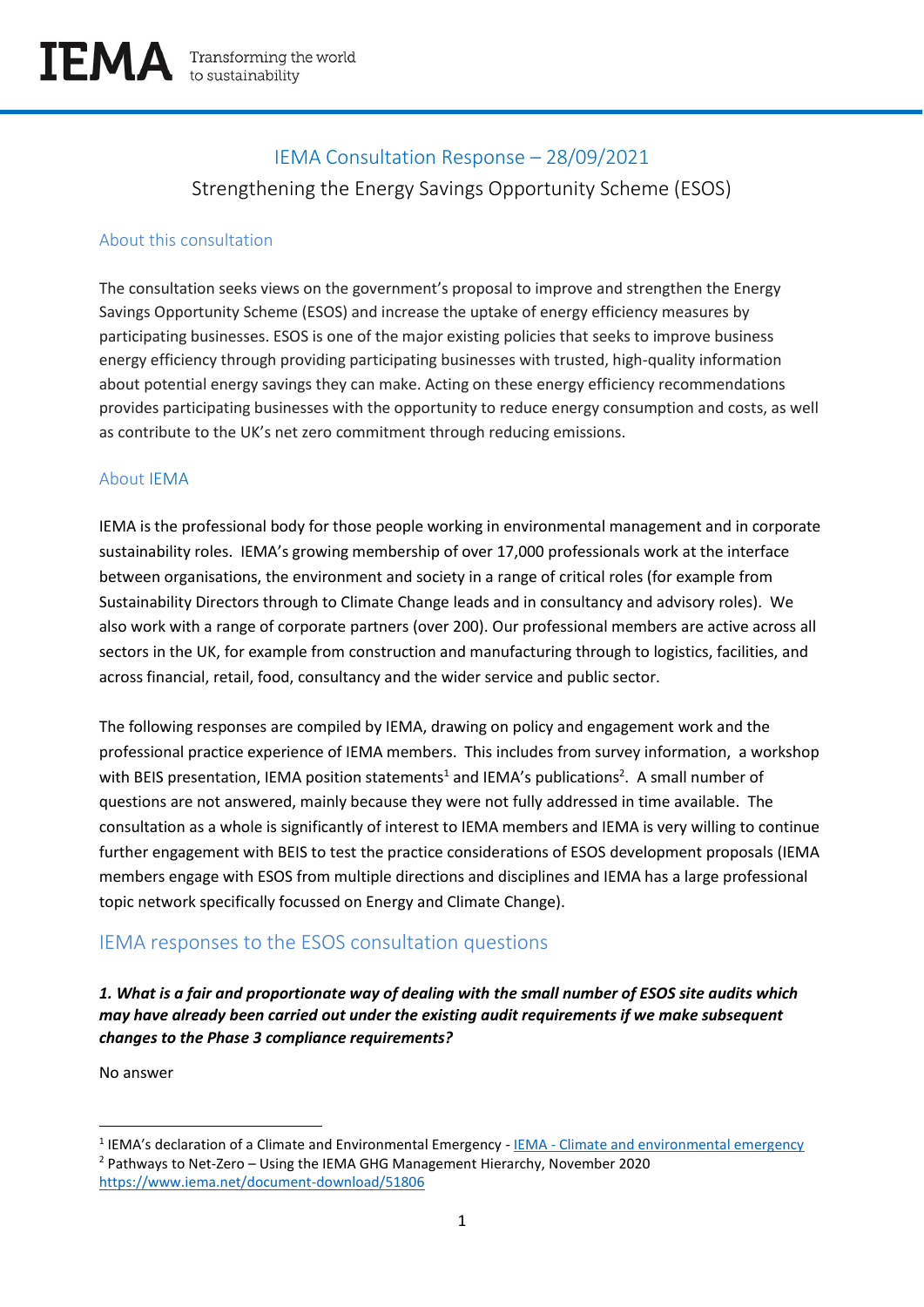# IEMA Consultation Response – 28/09/2021 Strengthening the Energy Savings Opportunity Scheme (ESOS)

# About this consultation

The consultation seeks views on the government's proposal to improve and strengthen the Energy Savings Opportunity Scheme (ESOS) and increase the uptake of energy efficiency measures by participating businesses. ESOS is one of the major existing policies that seeks to improve business energy efficiency through providing participating businesses with trusted, high-quality information about potential energy savings they can make. Acting on these energy efficiency recommendations provides participating businesses with the opportunity to reduce energy consumption and costs, as well as contribute to the UK's net zero commitment through reducing emissions.

## About IEMA

IEMA is the professional body for those people working in environmental management and in corporate sustainability roles. IEMA's growing membership of over 17,000 professionals work at the interface between organisations, the environment and society in a range of critical roles (for example from Sustainability Directors through to Climate Change leads and in consultancy and advisory roles). We also work with a range of corporate partners (over 200). Our professional members are active across all sectors in the UK, for example from construction and manufacturing through to logistics, facilities, and across financial, retail, food, consultancy and the wider service and public sector.

The following responses are compiled by IEMA, drawing on policy and engagement work and the professional practice experience of IEMA members. This includes from survey information, a workshop with BEIS presentation, IEMA position statements<sup>1</sup> and IEMA's publications<sup>2</sup>. A small number of questions are not answered, mainly because they were not fully addressed in time available. The consultation as a whole is significantly of interest to IEMA members and IEMA is very willing to continue further engagement with BEIS to test the practice considerations of ESOS development proposals (IEMA members engage with ESOS from multiple directions and disciplines and IEMA has a large professional topic network specifically focussed on Energy and Climate Change).

# IEMA responses to the ESOS consultation questions

# *1. What is a fair and proportionate way of dealing with the small number of ESOS site audits which may have already been carried out under the existing audit requirements if we make subsequent changes to the Phase 3 compliance requirements?*

No answer

<sup>&</sup>lt;sup>1</sup> IEMA's declaration of a Climate and Environmental Emergency - <u>IEMA - [Climate and environmental emergency](https://www.iema.net/climate-emergency)</u> <sup>2</sup> Pathways to Net-Zero – Using the IEMA GHG Management Hierarchy, November 2020 <https://www.iema.net/document-download/51806>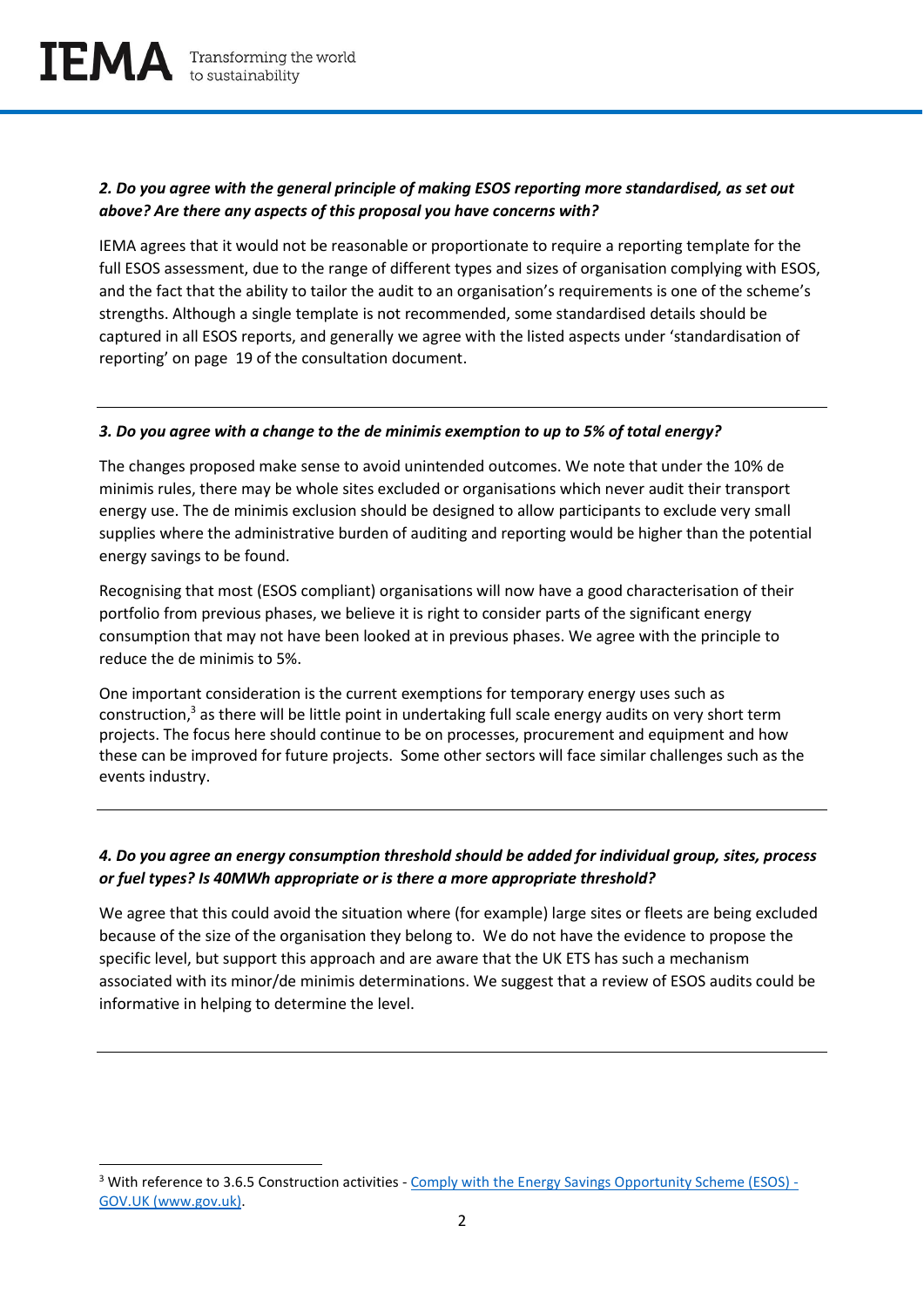## *2. Do you agree with the general principle of making ESOS reporting more standardised, as set out above? Are there any aspects of this proposal you have concerns with?*

IEMA agrees that it would not be reasonable or proportionate to require a reporting template for the full ESOS assessment, due to the range of different types and sizes of organisation complying with ESOS, and the fact that the ability to tailor the audit to an organisation's requirements is one of the scheme's strengths. Although a single template is not recommended, some standardised details should be captured in all ESOS reports, and generally we agree with the listed aspects under 'standardisation of reporting' on page 19 of the consultation document.

#### *3. Do you agree with a change to the de minimis exemption to up to 5% of total energy?*

The changes proposed make sense to avoid unintended outcomes. We note that under the 10% de minimis rules, there may be whole sites excluded or organisations which never audit their transport energy use. The de minimis exclusion should be designed to allow participants to exclude very small supplies where the administrative burden of auditing and reporting would be higher than the potential energy savings to be found.

Recognising that most (ESOS compliant) organisations will now have a good characterisation of their portfolio from previous phases, we believe it is right to consider parts of the significant energy consumption that may not have been looked at in previous phases. We agree with the principle to reduce the de minimis to 5%.

One important consideration is the current exemptions for temporary energy uses such as construction,<sup>3</sup> as there will be little point in undertaking full scale energy audits on very short term projects. The focus here should continue to be on processes, procurement and equipment and how these can be improved for future projects. Some other sectors will face similar challenges such as the events industry.

## *4. Do you agree an energy consumption threshold should be added for individual group, sites, process or fuel types? Is 40MWh appropriate or is there a more appropriate threshold?*

We agree that this could avoid the situation where (for example) large sites or fleets are being excluded because of the size of the organisation they belong to. We do not have the evidence to propose the specific level, but support this approach and are aware that the UK ETS has such a mechanism associated with its minor/de minimis determinations. We suggest that a review of ESOS audits could be informative in helping to determine the level.

<sup>&</sup>lt;sup>3</sup> With reference to 3.6.5 Construction activities - [Comply with the Energy Savings Opportunity Scheme \(ESOS\) -](https://www.gov.uk/government/publications/comply-with-the-energy-savings-opportunity-scheme-esos/complying-with-the-energy-savings-opportunity-scheme-esos) [GOV.UK \(www.gov.uk\).](https://www.gov.uk/government/publications/comply-with-the-energy-savings-opportunity-scheme-esos/complying-with-the-energy-savings-opportunity-scheme-esos)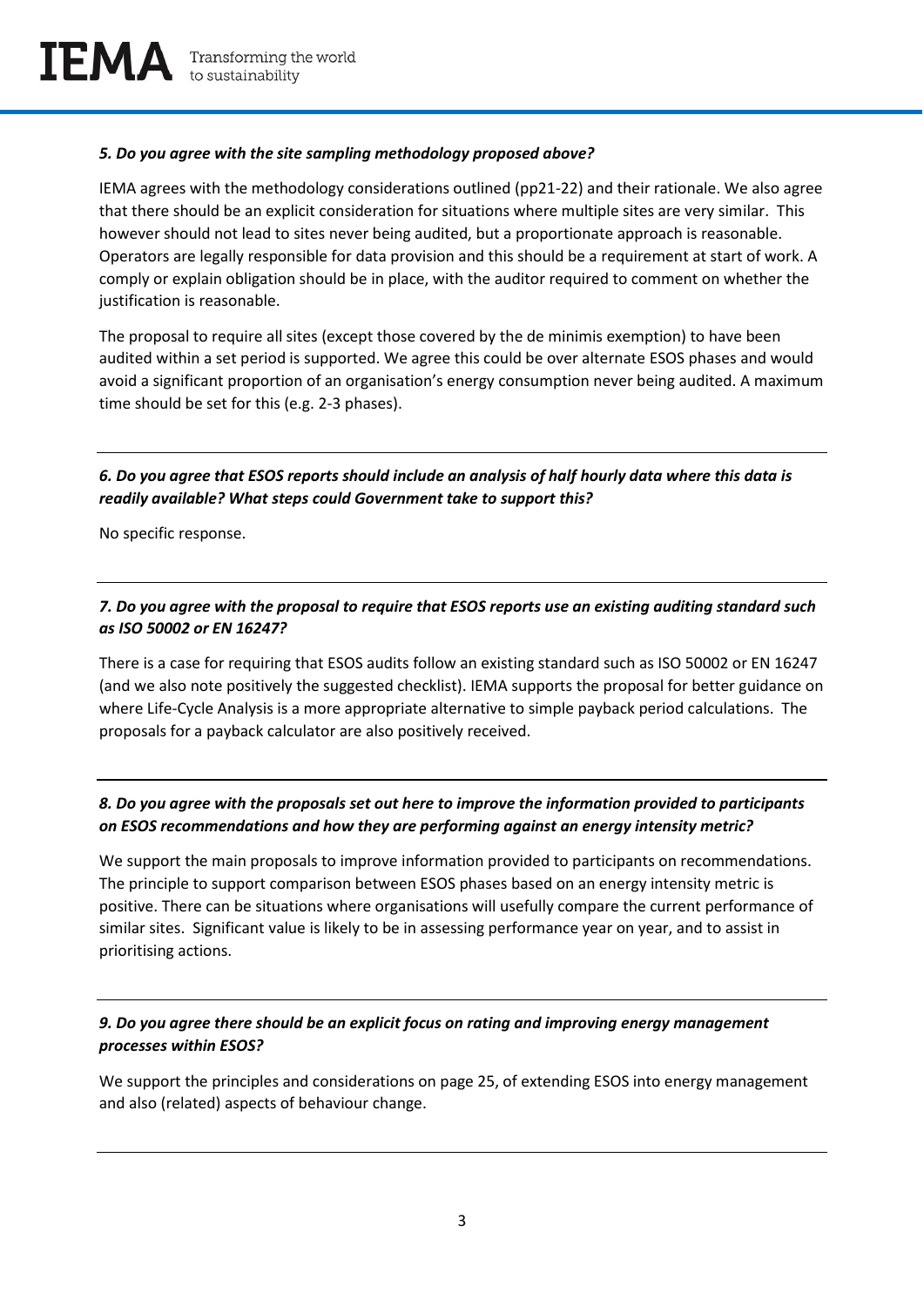#### *5. Do you agree with the site sampling methodology proposed above?*

IEMA agrees with the methodology considerations outlined (pp21-22) and their rationale. We also agree that there should be an explicit consideration for situations where multiple sites are very similar. This however should not lead to sites never being audited, but a proportionate approach is reasonable. Operators are legally responsible for data provision and this should be a requirement at start of work. A comply or explain obligation should be in place, with the auditor required to comment on whether the justification is reasonable.

The proposal to require all sites (except those covered by the de minimis exemption) to have been audited within a set period is supported. We agree this could be over alternate ESOS phases and would avoid a significant proportion of an organisation's energy consumption never being audited. A maximum time should be set for this (e.g. 2-3 phases).

## *6. Do you agree that ESOS reports should include an analysis of half hourly data where this data is readily available? What steps could Government take to support this?*

No specific response.

## *7. Do you agree with the proposal to require that ESOS reports use an existing auditing standard such as ISO 50002 or EN 16247?*

There is a case for requiring that ESOS audits follow an existing standard such as ISO 50002 or EN 16247 (and we also note positively the suggested checklist). IEMA supports the proposal for better guidance on where Life-Cycle Analysis is a more appropriate alternative to simple payback period calculations. The proposals for a payback calculator are also positively received.

## *8. Do you agree with the proposals set out here to improve the information provided to participants on ESOS recommendations and how they are performing against an energy intensity metric?*

We support the main proposals to improve information provided to participants on recommendations. The principle to support comparison between ESOS phases based on an energy intensity metric is positive. There can be situations where organisations will usefully compare the current performance of similar sites. Significant value is likely to be in assessing performance year on year, and to assist in prioritising actions.

# *9. Do you agree there should be an explicit focus on rating and improving energy management processes within ESOS?*

We support the principles and considerations on page 25, of extending ESOS into energy management and also (related) aspects of behaviour change.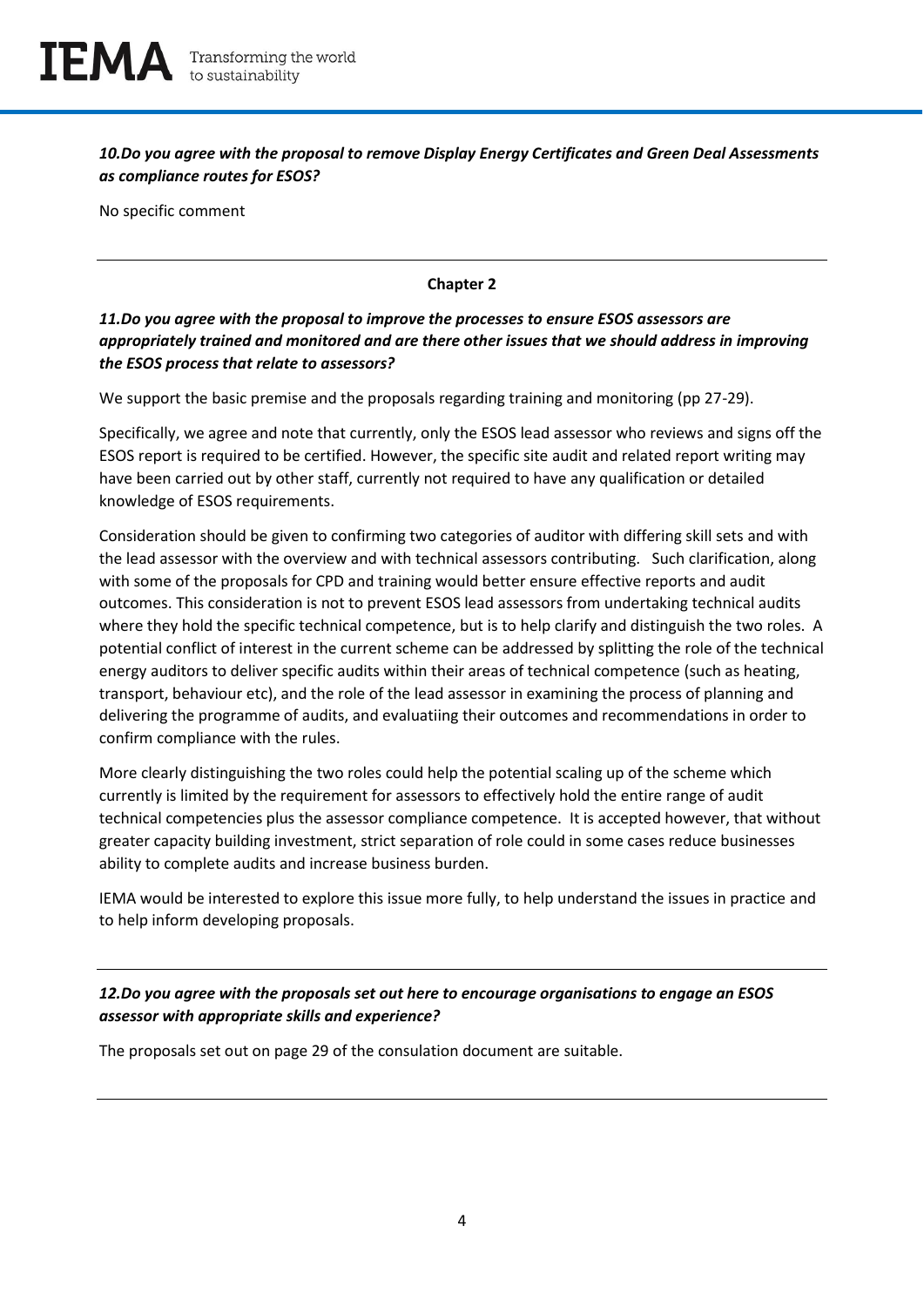*10.Do you agree with the proposal to remove Display Energy Certificates and Green Deal Assessments as compliance routes for ESOS?*

No specific comment

#### **Chapter 2**

#### *11.Do you agree with the proposal to improve the processes to ensure ESOS assessors are appropriately trained and monitored and are there other issues that we should address in improving the ESOS process that relate to assessors?*

We support the basic premise and the proposals regarding training and monitoring (pp 27-29).

Specifically, we agree and note that currently, only the ESOS lead assessor who reviews and signs off the ESOS report is required to be certified. However, the specific site audit and related report writing may have been carried out by other staff, currently not required to have any qualification or detailed knowledge of ESOS requirements.

Consideration should be given to confirming two categories of auditor with differing skill sets and with the lead assessor with the overview and with technical assessors contributing. Such clarification, along with some of the proposals for CPD and training would better ensure effective reports and audit outcomes. This consideration is not to prevent ESOS lead assessors from undertaking technical audits where they hold the specific technical competence, but is to help clarify and distinguish the two roles. A potential conflict of interest in the current scheme can be addressed by splitting the role of the technical energy auditors to deliver specific audits within their areas of technical competence (such as heating, transport, behaviour etc), and the role of the lead assessor in examining the process of planning and delivering the programme of audits, and evaluatiing their outcomes and recommendations in order to confirm compliance with the rules.

More clearly distinguishing the two roles could help the potential scaling up of the scheme which currently is limited by the requirement for assessors to effectively hold the entire range of audit technical competencies plus the assessor compliance competence. It is accepted however, that without greater capacity building investment, strict separation of role could in some cases reduce businesses ability to complete audits and increase business burden.

IEMA would be interested to explore this issue more fully, to help understand the issues in practice and to help inform developing proposals.

# *12.Do you agree with the proposals set out here to encourage organisations to engage an ESOS assessor with appropriate skills and experience?*

The proposals set out on page 29 of the consulation document are suitable.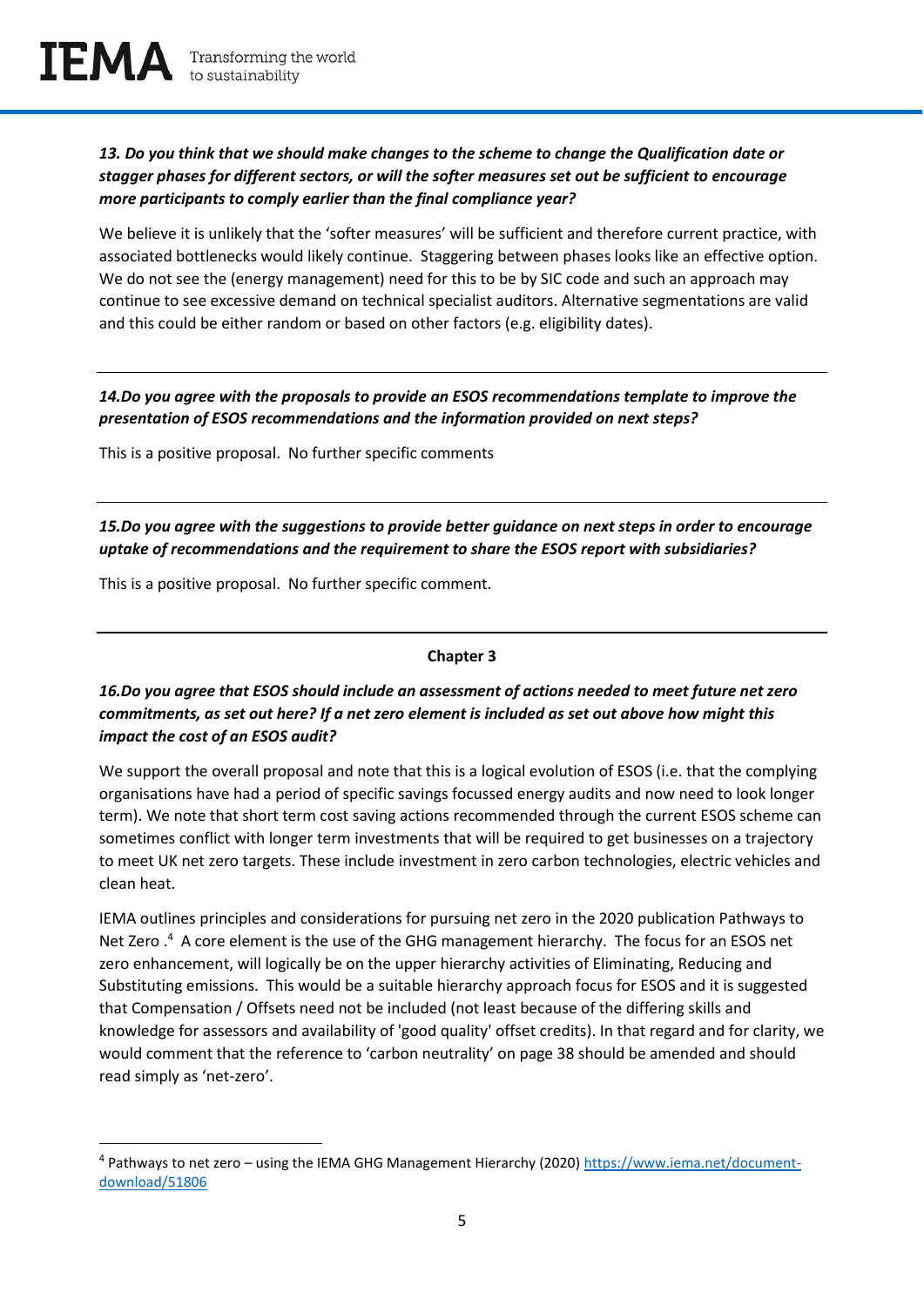## *13. Do you think that we should make changes to the scheme to change the Qualification date or stagger phases for different sectors, or will the softer measures set out be sufficient to encourage more participants to comply earlier than the final compliance year?*

We believe it is unlikely that the 'softer measures' will be sufficient and therefore current practice, with associated bottlenecks would likely continue. Staggering between phases looks like an effective option. We do not see the (energy management) need for this to be by SIC code and such an approach may continue to see excessive demand on technical specialist auditors. Alternative segmentations are valid and this could be either random or based on other factors (e.g. eligibility dates).

*14.Do you agree with the proposals to provide an ESOS recommendations template to improve the presentation of ESOS recommendations and the information provided on next steps?* 

This is a positive proposal. No further specific comments

*15.Do you agree with the suggestions to provide better guidance on next steps in order to encourage uptake of recommendations and the requirement to share the ESOS report with subsidiaries?* 

This is a positive proposal. No further specific comment.

#### **Chapter 3**

#### *16.Do you agree that ESOS should include an assessment of actions needed to meet future net zero commitments, as set out here? If a net zero element is included as set out above how might this impact the cost of an ESOS audit?*

We support the overall proposal and note that this is a logical evolution of ESOS (i.e. that the complying organisations have had a period of specific savings focussed energy audits and now need to look longer term). We note that short term cost saving actions recommended through the current ESOS scheme can sometimes conflict with longer term investments that will be required to get businesses on a trajectory to meet UK net zero targets. These include investment in zero carbon technologies, electric vehicles and clean heat.

IEMA outlines principles and considerations for pursuing net zero in the 2020 publication Pathways to Net Zero .<sup>4</sup> A core element is the use of the GHG management hierarchy. The focus for an ESOS net zero enhancement, will logically be on the upper hierarchy activities of Eliminating, Reducing and Substituting emissions. This would be a suitable hierarchy approach focus for ESOS and it is suggested that Compensation / Offsets need not be included (not least because of the differing skills and knowledge for assessors and availability of 'good quality' offset credits). In that regard and for clarity, we would comment that the reference to 'carbon neutrality' on page 38 should be amended and should read simply as 'net-zero'.

<sup>&</sup>lt;sup>4</sup> Pathways to net zero – using the IEMA GHG Management Hierarchy (2020) [https://www.iema.net/document](https://www.iema.net/document-download/51806)[download/51806](https://www.iema.net/document-download/51806)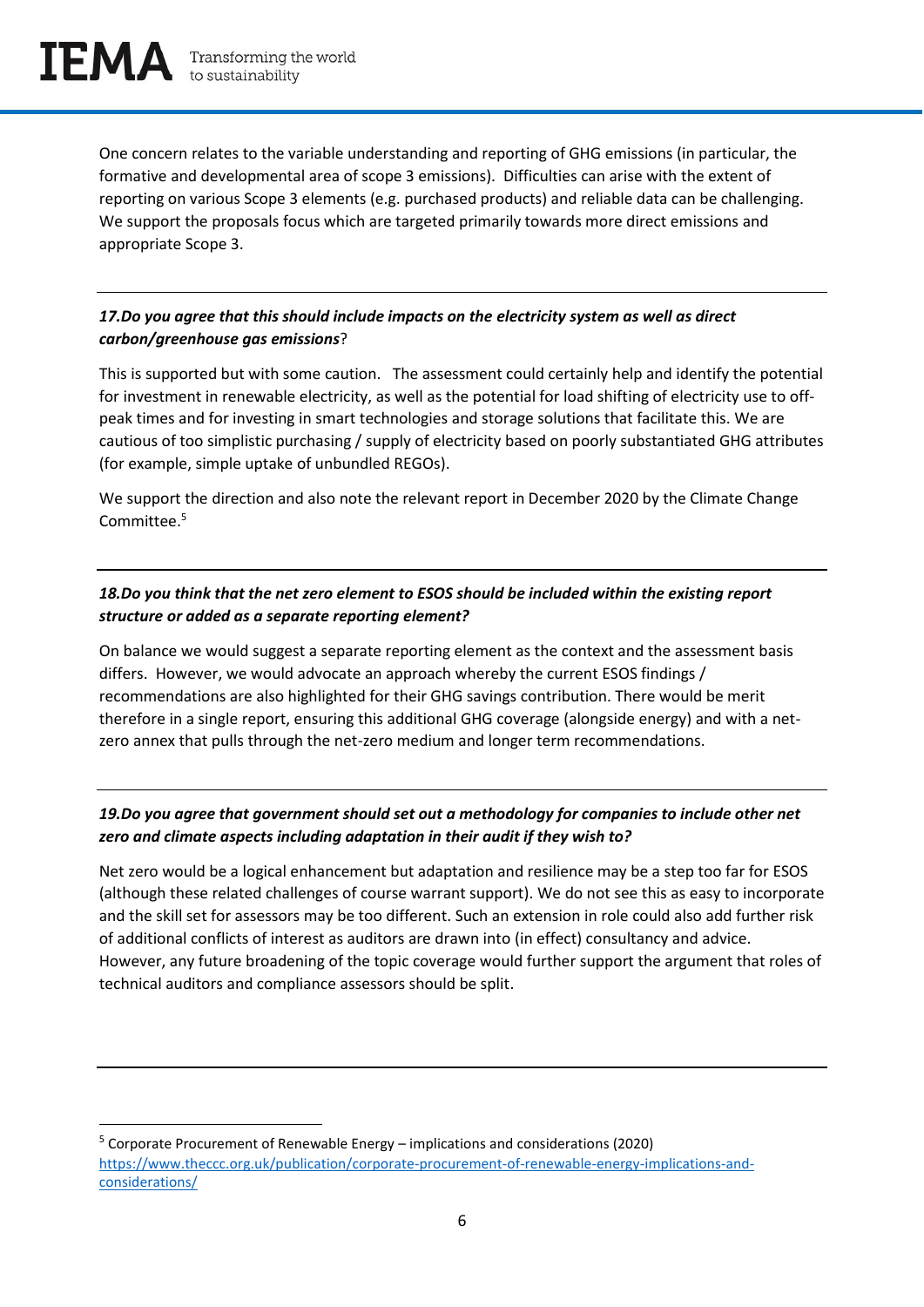One concern relates to the variable understanding and reporting of GHG emissions (in particular, the formative and developmental area of scope 3 emissions). Difficulties can arise with the extent of reporting on various Scope 3 elements (e.g. purchased products) and reliable data can be challenging. We support the proposals focus which are targeted primarily towards more direct emissions and appropriate Scope 3.

## *17.Do you agree that this should include impacts on the electricity system as well as direct carbon/greenhouse gas emissions*?

This is supported but with some caution. The assessment could certainly help and identify the potential for investment in renewable electricity, as well as the potential for load shifting of electricity use to offpeak times and for investing in smart technologies and storage solutions that facilitate this. We are cautious of too simplistic purchasing / supply of electricity based on poorly substantiated GHG attributes (for example, simple uptake of unbundled REGOs).

We support the direction and also note the relevant report in December 2020 by the Climate Change Committee. 5

## *18.Do you think that the net zero element to ESOS should be included within the existing report structure or added as a separate reporting element?*

On balance we would suggest a separate reporting element as the context and the assessment basis differs. However, we would advocate an approach whereby the current ESOS findings / recommendations are also highlighted for their GHG savings contribution. There would be merit therefore in a single report, ensuring this additional GHG coverage (alongside energy) and with a netzero annex that pulls through the net-zero medium and longer term recommendations.

## *19.Do you agree that government should set out a methodology for companies to include other net zero and climate aspects including adaptation in their audit if they wish to?*

Net zero would be a logical enhancement but adaptation and resilience may be a step too far for ESOS (although these related challenges of course warrant support). We do not see this as easy to incorporate and the skill set for assessors may be too different. Such an extension in role could also add further risk of additional conflicts of interest as auditors are drawn into (in effect) consultancy and advice. However, any future broadening of the topic coverage would further support the argument that roles of technical auditors and compliance assessors should be split.

<sup>5</sup> Corporate Procurement of Renewable Energy – implications and considerations (2020) [https://www.theccc.org.uk/publication/corporate-procurement-of-renewable-energy-implications-and](https://www.theccc.org.uk/publication/corporate-procurement-of-renewable-energy-implications-and-considerations/)[considerations/](https://www.theccc.org.uk/publication/corporate-procurement-of-renewable-energy-implications-and-considerations/)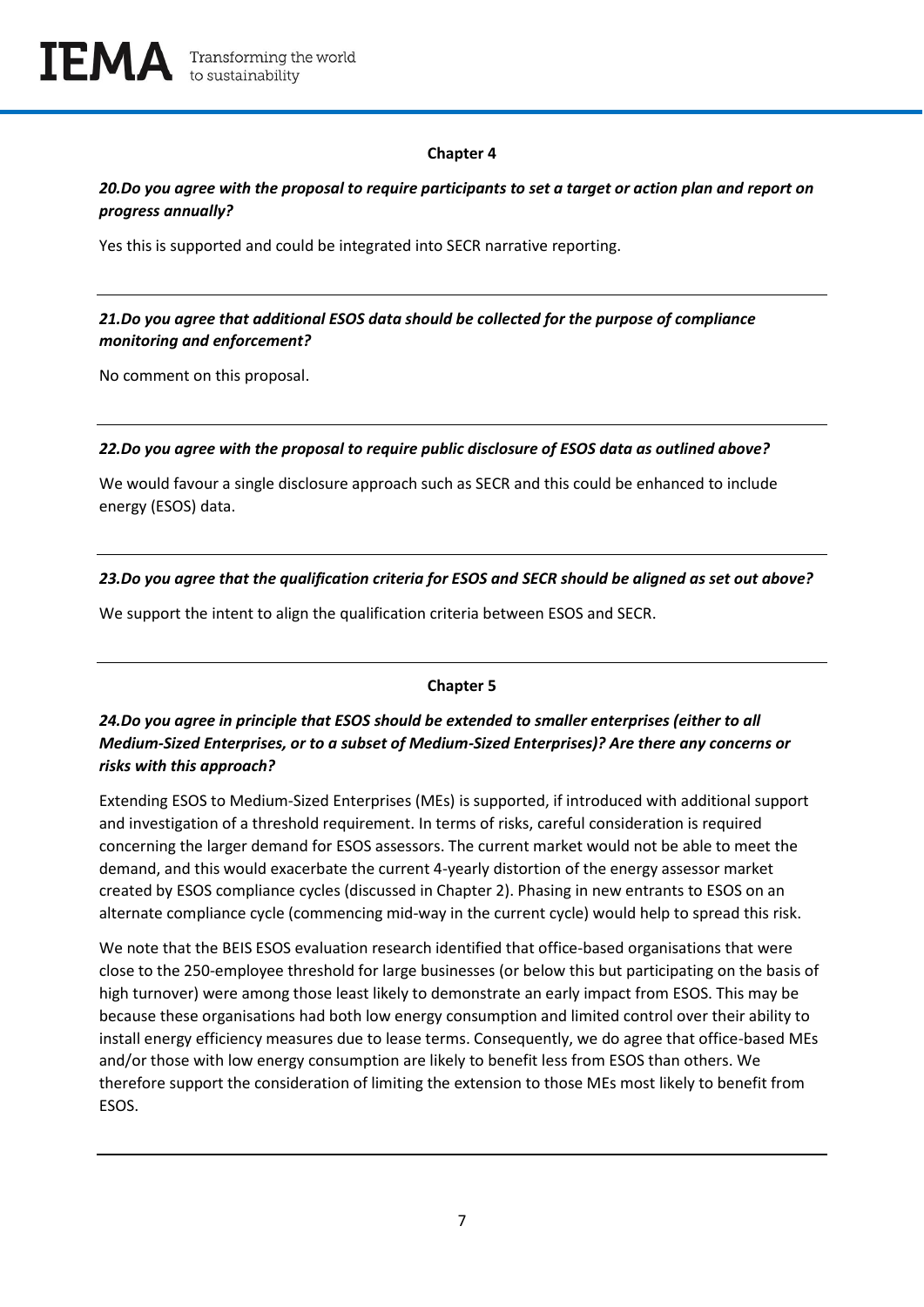

#### **Chapter 4**

#### *20.Do you agree with the proposal to require participants to set a target or action plan and report on progress annually?*

Yes this is supported and could be integrated into SECR narrative reporting.

#### *21.Do you agree that additional ESOS data should be collected for the purpose of compliance monitoring and enforcement?*

No comment on this proposal.

#### *22.Do you agree with the proposal to require public disclosure of ESOS data as outlined above?*

We would favour a single disclosure approach such as SECR and this could be enhanced to include energy (ESOS) data.

#### *23.Do you agree that the qualification criteria for ESOS and SECR should be aligned as set out above?*

We support the intent to align the qualification criteria between ESOS and SECR.

#### **Chapter 5**

## *24.Do you agree in principle that ESOS should be extended to smaller enterprises (either to all Medium-Sized Enterprises, or to a subset of Medium-Sized Enterprises)? Are there any concerns or risks with this approach?*

Extending ESOS to Medium-Sized Enterprises (MEs) is supported, if introduced with additional support and investigation of a threshold requirement. In terms of risks, careful consideration is required concerning the larger demand for ESOS assessors. The current market would not be able to meet the demand, and this would exacerbate the current 4-yearly distortion of the energy assessor market created by ESOS compliance cycles (discussed in Chapter 2). Phasing in new entrants to ESOS on an alternate compliance cycle (commencing mid-way in the current cycle) would help to spread this risk.

We note that the BEIS ESOS evaluation research identified that office-based organisations that were close to the 250-employee threshold for large businesses (or below this but participating on the basis of high turnover) were among those least likely to demonstrate an early impact from ESOS. This may be because these organisations had both low energy consumption and limited control over their ability to install energy efficiency measures due to lease terms. Consequently, we do agree that office-based MEs and/or those with low energy consumption are likely to benefit less from ESOS than others. We therefore support the consideration of limiting the extension to those MEs most likely to benefit from ESOS.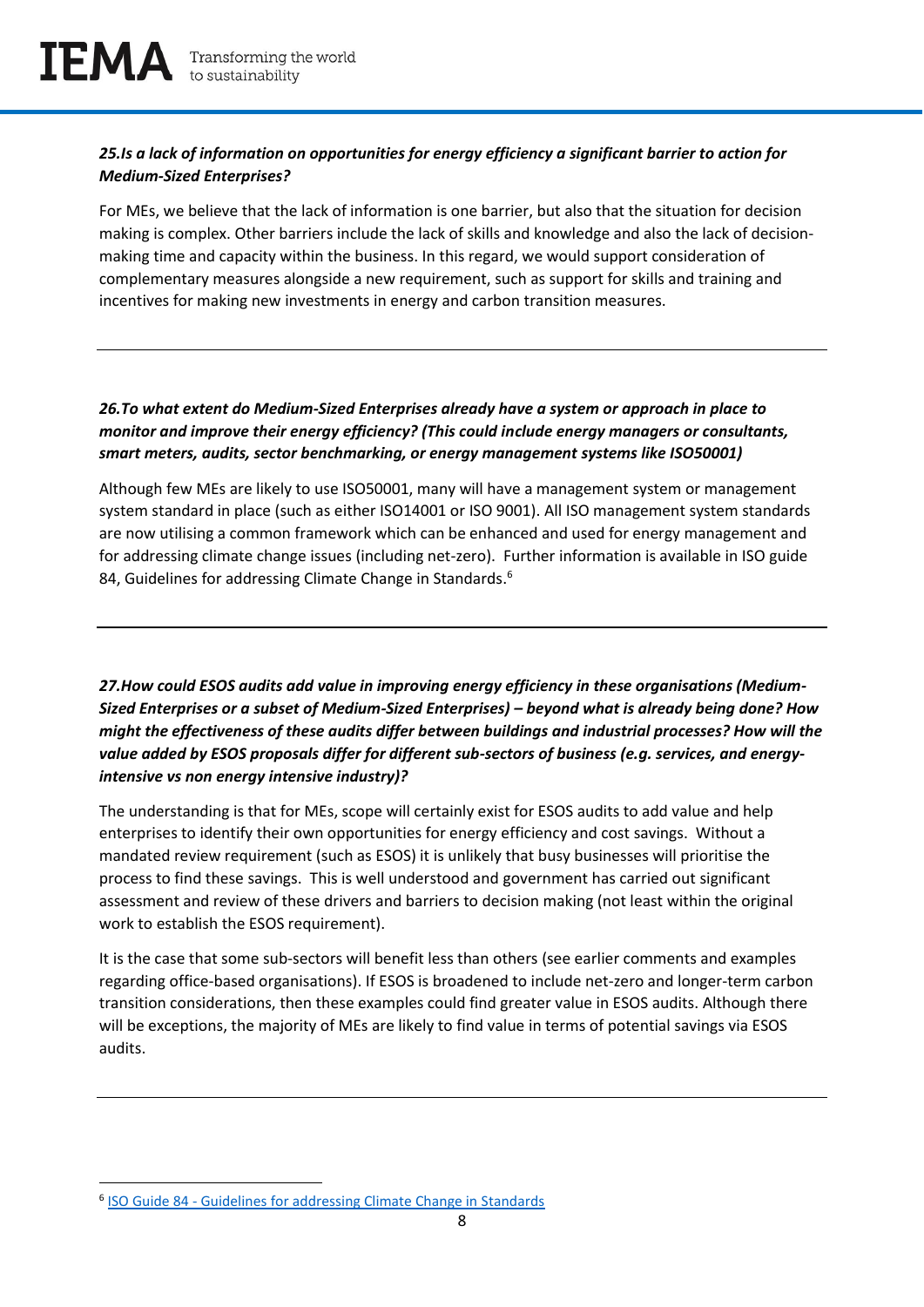## *25.Is a lack of information on opportunities for energy efficiency a significant barrier to action for Medium-Sized Enterprises?*

For MEs, we believe that the lack of information is one barrier, but also that the situation for decision making is complex. Other barriers include the lack of skills and knowledge and also the lack of decisionmaking time and capacity within the business. In this regard, we would support consideration of complementary measures alongside a new requirement, such as support for skills and training and incentives for making new investments in energy and carbon transition measures.

#### *26.To what extent do Medium-Sized Enterprises already have a system or approach in place to monitor and improve their energy efficiency? (This could include energy managers or consultants, smart meters, audits, sector benchmarking, or energy management systems like ISO50001)*

Although few MEs are likely to use ISO50001, many will have a management system or management system standard in place (such as either ISO14001 or ISO 9001). All ISO management system standards are now utilising a common framework which can be enhanced and used for energy management and for addressing climate change issues (including net-zero). Further information is available in ISO guide 84, Guidelines for addressing Climate Change in Standards.<sup>6</sup>

*27.How could ESOS audits add value in improving energy efficiency in these organisations (Medium-Sized Enterprises or a subset of Medium-Sized Enterprises) – beyond what is already being done? How might the effectiveness of these audits differ between buildings and industrial processes? How will the value added by ESOS proposals differ for different sub-sectors of business (e.g. services, and energyintensive vs non energy intensive industry)?*

The understanding is that for MEs, scope will certainly exist for ESOS audits to add value and help enterprises to identify their own opportunities for energy efficiency and cost savings. Without a mandated review requirement (such as ESOS) it is unlikely that busy businesses will prioritise the process to find these savings. This is well understood and government has carried out significant assessment and review of these drivers and barriers to decision making (not least within the original work to establish the ESOS requirement).

It is the case that some sub-sectors will benefit less than others (see earlier comments and examples regarding office-based organisations). If ESOS is broadened to include net-zero and longer-term carbon transition considerations, then these examples could find greater value in ESOS audits. Although there will be exceptions, the majority of MEs are likely to find value in terms of potential savings via ESOS audits.

<sup>&</sup>lt;sup>6</sup> ISO Guide 84 - [Guidelines for addressing Climate Change in Standards](https://isotc.iso.org/livelink/livelink?func=ll&objId=21325430&objAction=Open&nexturl=%2Flivelink%2Flivelink%2FOpen%2F8389141%3Ffunc%3Dll%26objId%3D8389141%26objAction%3Dbrowse)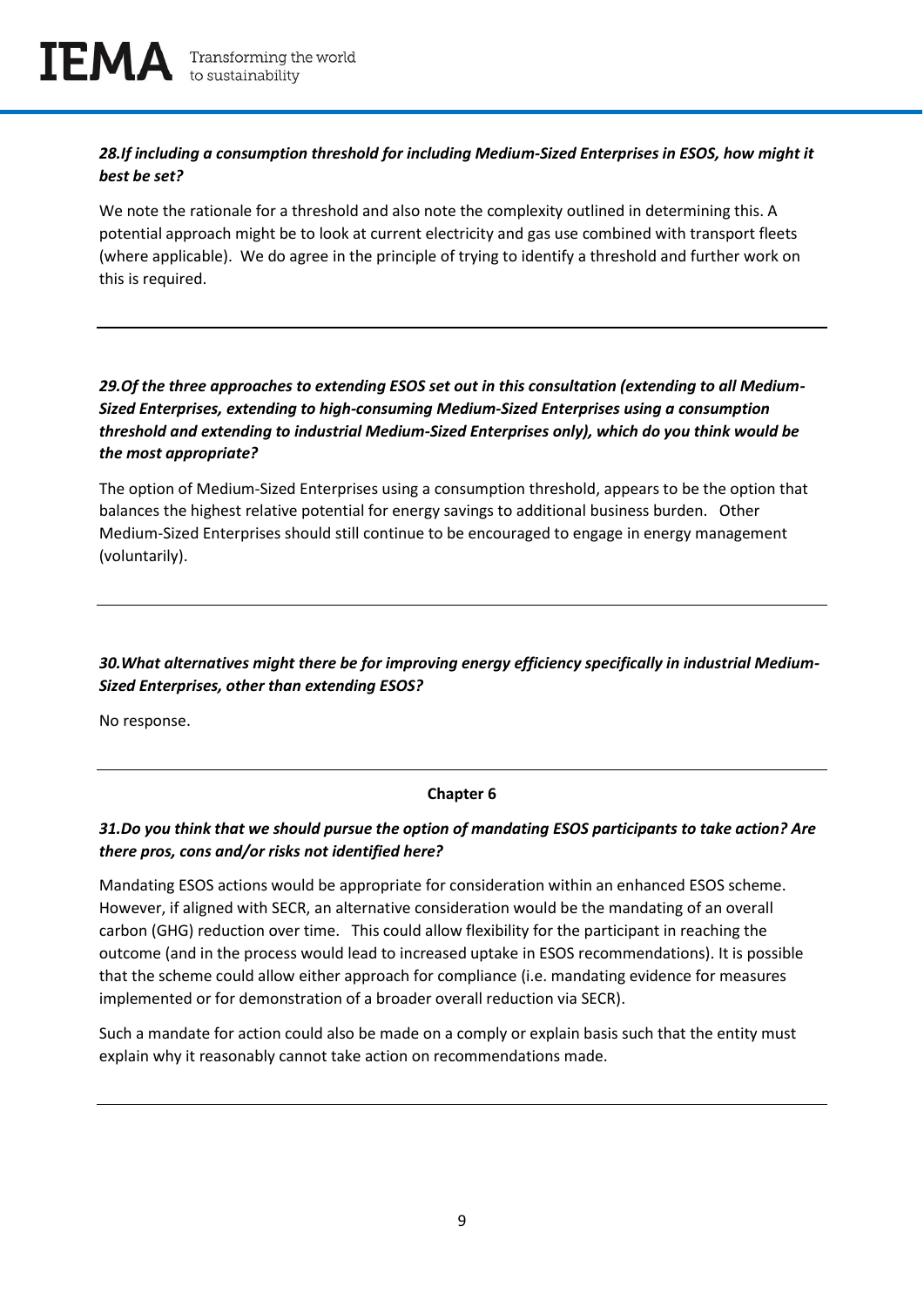# *28.If including a consumption threshold for including Medium-Sized Enterprises in ESOS, how might it best be set?*

We note the rationale for a threshold and also note the complexity outlined in determining this. A potential approach might be to look at current electricity and gas use combined with transport fleets (where applicable). We do agree in the principle of trying to identify a threshold and further work on this is required.

## *29.Of the three approaches to extending ESOS set out in this consultation (extending to all Medium-Sized Enterprises, extending to high-consuming Medium-Sized Enterprises using a consumption threshold and extending to industrial Medium-Sized Enterprises only), which do you think would be the most appropriate?*

The option of Medium-Sized Enterprises using a consumption threshold, appears to be the option that balances the highest relative potential for energy savings to additional business burden. Other Medium-Sized Enterprises should still continue to be encouraged to engage in energy management (voluntarily).

# *30.What alternatives might there be for improving energy efficiency specifically in industrial Medium-Sized Enterprises, other than extending ESOS?*

No response.

#### **Chapter 6**

# *31.Do you think that we should pursue the option of mandating ESOS participants to take action? Are there pros, cons and/or risks not identified here?*

Mandating ESOS actions would be appropriate for consideration within an enhanced ESOS scheme. However, if aligned with SECR, an alternative consideration would be the mandating of an overall carbon (GHG) reduction over time. This could allow flexibility for the participant in reaching the outcome (and in the process would lead to increased uptake in ESOS recommendations). It is possible that the scheme could allow either approach for compliance (i.e. mandating evidence for measures implemented or for demonstration of a broader overall reduction via SECR).

Such a mandate for action could also be made on a comply or explain basis such that the entity must explain why it reasonably cannot take action on recommendations made.